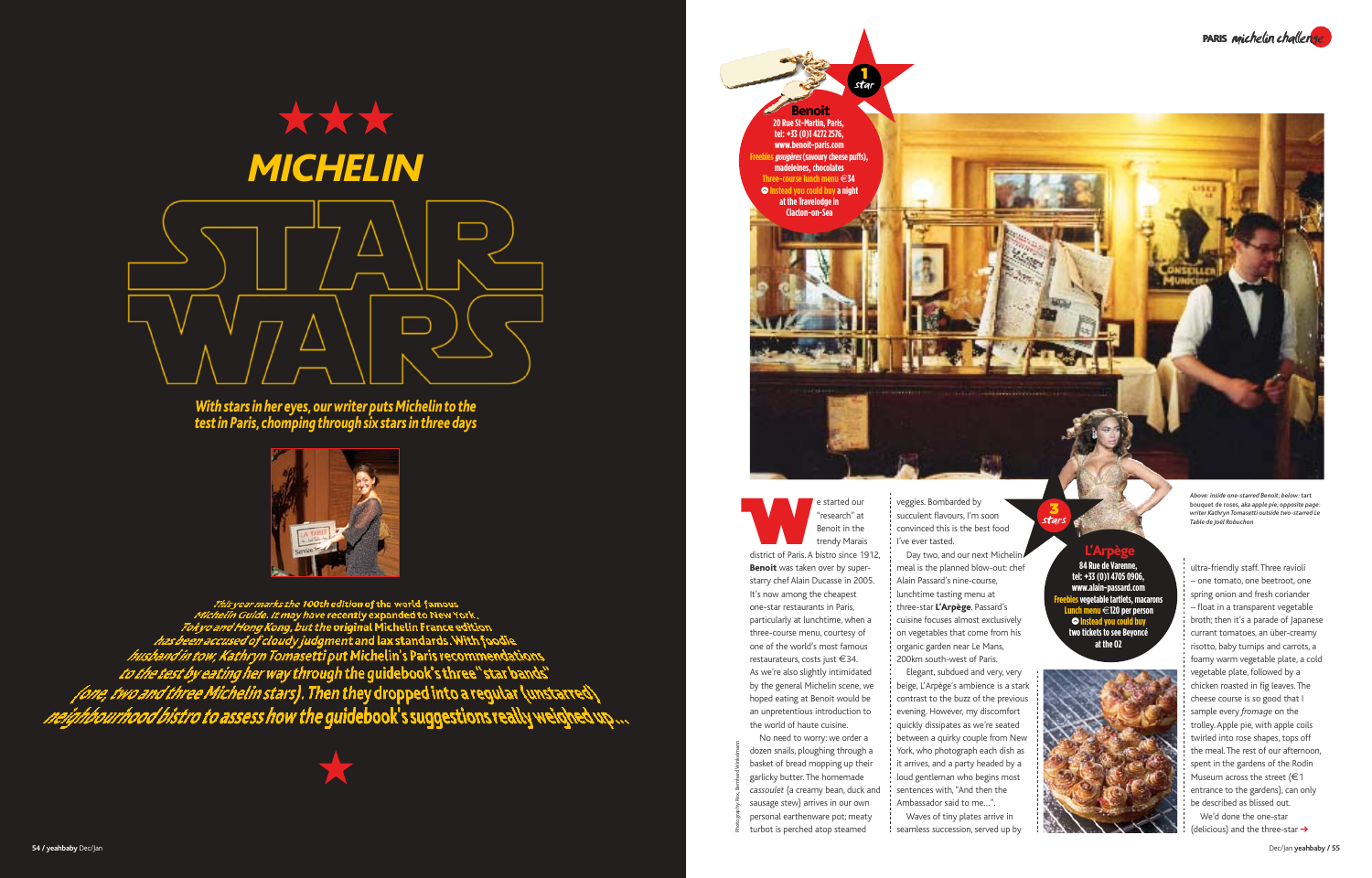Dec/Jan **yeahbaby / 55**



*Above: inside one-starred Benoit; below:* tart bouquet de roses*, aka apple pie; opposite page: writer Kathryn Tomasetti outside two-starred Le Table de Joël Robuchon*

Photography: Rex, Bernhard Winkelmann



## *With stars in her eyes, our writer puts Michelin to the test in Paris, chomping through six stars in three days*



This year marks the 100th edition of the world famous<br>Michelin Guide. It may have recently expanded to New York,<br>Tokyo and Hong Kong, but the original Michelin France edition<br>has been accused of cloudy judgment and lax sta



e started our<br>
"research" at<br>
Benoit in the<br>
trendy Marais<br>
district of Paris. A bistro since 1912, "research" at Benoit in the trendy Marais Benoit was taken over by super-It's now among the cheapest one-star restaurants in Paris, three-course menu, courtesy of one of the world's most famous

starry chef Alain Ducasse in 2005. particularly at lunchtime, when a restaurateurs, costs just €34. As we're also slightly intimidated by the general Michelin scene, we hoped eating at Benoit would be an unpretentious introduction to the world of haute cuisine.

Day two, and our next Michelin/ meal is the planned blow-out: chef Alain Passard's nine-course, lunchtime tasting menu at three-star L'Arpège. Passard's cuisine focuses almost exclusively on vegetables that come from his organic garden near Le Mans,

No need to worry: we order a dozen snails, ploughing through a basket of bread mopping up their garlicky butter. The homemade *cassoulet* (a creamy bean, duck and sausage stew) arrives in our own personal earthenware pot; meaty turbot is perched atop steamed

veggies. Bombarded by succulent flavours, I'm soon convinced this is the best food I've ever tasted.

> We'd done the one-star (delicious) and the three-star  $\rightarrow$

200km south-west of Paris. Elegant, subdued and very, very beige, L'Arpège's ambience is a stark contrast to the buzz of the previous evening. However, my discomfort quickly dissipates as we're seated between a quirky couple from New York, who photograph each dish as it arrives, and a party headed by a loud gentleman who begins most sentences with, "And then the Ambassador said to me…".

Waves of tiny plates arrive in seamless succession, served up by ultra-friendly staff. Three ravioli – one tomato, one beetroot, one spring onion and fresh coriander – float in a transparent vegetable broth; then it's a parade of Japanese currant tomatoes, an über-creamy risotto, baby turnips and carrots, a foamy warm vegetable plate, a cold vegetable plate, followed by a chicken roasted in fig leaves. The cheese course is so good that I sample every *fromage* on the trolley. Apple pie, with apple coils twirled into rose shapes, tops off the meal. The rest of our afternoon, spent in the gardens of the Rodin Museum across the street ( $€1$ entrance to the gardens), can only be described as blissed out.

Benoit **20 Rue St-Martin, Paris, tel: +33 (0)1 4272 2576, www.benoit-paris.com Freebiesgougères (savoury cheese puffs), madeleines, chocolates Three-course lunch menu** @**34**  $\odot$  **Instead you could buy a night at the Travelodge in Clacton-on-Sea** 1 star



**tel: +33 (0)1 4705 0906, www.alain-passard.com Freebies vegetable tartlets, macarons Lunch menu** @**120 per person**  $\odot$  **Instead you could buy two tickets to see Beyoncé at the O2**



3 stars